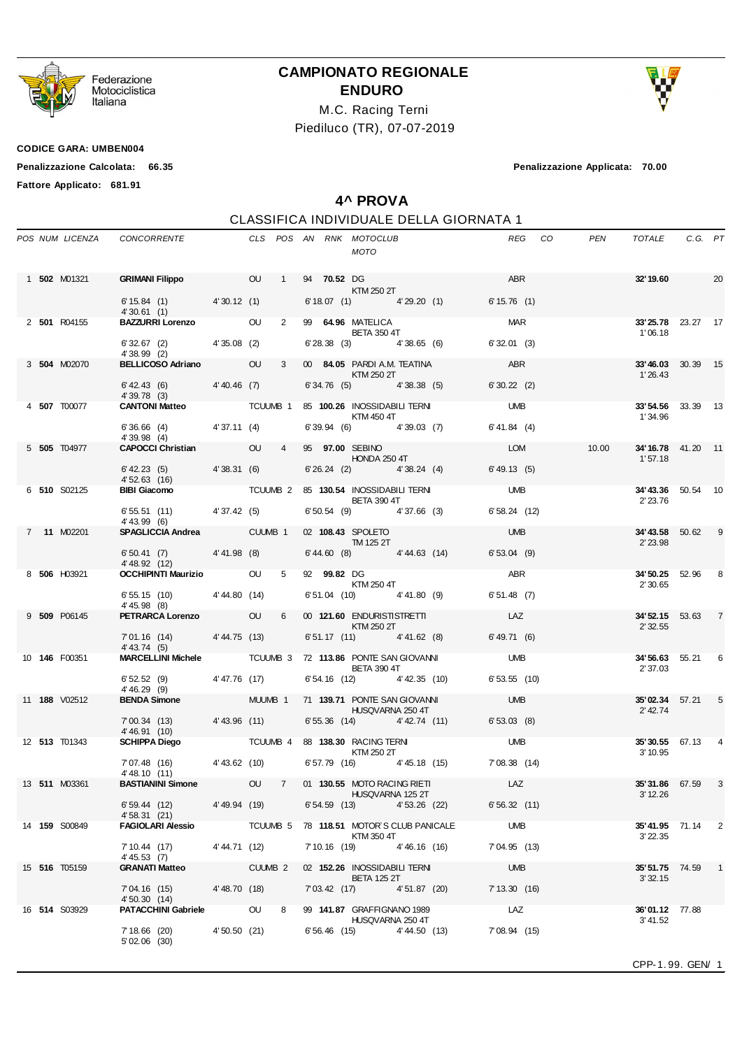

Federazione Motociclistica Italiana

## **CAMPIONATO REGIONALE ENDURO**





**CODICE GARA: UMBEN004**

**Penalizzazione Calcolata: 66.35 Penalizzazione Applicata: 70.00**

**Fattore Applicato: 681.91**

**4^ PROVA**

## CLASSIFICA INDIVIDUALE DELLA GIORNATA 1 *POS NUM LICENZA CONCORRENTE CLS POS AN RNK MOTOCLUB REG CO PEN TOTALE C.G. PT MOTO* 1 **502** M01321 **GRIMANI Filippo** OU 1 94 **70.52** DG ABR **32'19.60** 20 KTM 250 2T<br>(1) 4' 29.20 (1)  $6' 15.84$  (1)  $4' 30.12$  (1)  $6' 18.07$  (1)  $4' 29.20$  (1)  $6' 15.76$  (1) 4' 30.61 (1) 2 **501** R04155 **BAZZURRI Lorenzo** OU 2 99 **64.96** MATELICA MAR **33'25.78** 23.27 17 BETA 350 4T<br>
1' 06.18<br>
9' 38.65 (6) 6' 32.01 (3) 6' 32.67 (2) 4' 35.08 (2) 6' 28.38 (3) 4' 38.65 (6) 6' 32.01 (3) 4' 38.99 (2)<br>BELLICOSO Adriano 3 **504** M02070 **BELLICOSO Adriano** OU 3 00 **84.05** PARDI A.M. TEATINA ABR **33'46.03** 30.39 15 KTM 250 2T<br>
6' 34.76 (5) 4' 38.38 (5) 6' 30.22 (2) 4' 38.38 (5) 6' 30.22 (2) 6' 42.43 (6) 4' 40.46 (7) 6' 34.76 (5) 4' 38.38 (5) 6' 30.22 (2) 4' 39.78 (3)<br>CANTONI Matteo 4 **507** T00077 **CANTONI Matteo** TCUUMB 1 85 **100.26** INOSSIDABILI TERNI UMB **33'54.56** 33.39 13 KTM 450 4T<br>1' 34.96<br>20.03 (7) 6' 41.84 (4) 6' 36.66 (4) 4' 37.11 (4) 6' 39.94 (6) 4' 39.03 (7) 6' 41.84 (4)  $4'$  39.98  $(4)$ <br>**CAPOCCI Christian** 5 **505** T04977 **CAPOCCI Christian** OU 4 95 **97.00** SEBINO LOM 10.00 **34'16.78** 41.20 11 HONDA 250 4T<br>
1' 57.18<br>
1' 57.18<br>
1' 57.18<br>
6' 49.13 (5)  $6'$  42.23 (5) 4' 38.31 (6) 6' 26.24 (2) 4' 52.63 (16) 6 **510** S02125 **BIBI Giacomo** TCUUMB 2 85 **130.54** INOSSIDABILI TERNI UMB **34'43.36** 50.54 10 BETA 390 4T<br>2137.66 (3) 6' 58.24 (12) 6' 55.51 (11) 4' 37.42 (5) 6' 50.54 (9) 4' 37.66 (3) 6' 58.24 (12) 4' 43.99 (6)<br>**SPAGLICCIA Andrea** 7 **11** M02201 **SPAGLICCIA Andrea** CUUMB 1 02 **108.43** SPOLETO UMB **34'43.58** 50.62 9 TM 125 2T<br>
6' 44.60 (8) 4' 44.63 (14) 6' 53.04 (9) 6' 50.41 (7) 4' 41.98 (8) 6' 44.60 (8) 4' 44.63 (14) 4' 48.92 (12) 8 **506** H03921 **OCCHIPINTI Maurizio** OU 5 92 **99.82** DG ABR **34'50.25** 52.96 8  $KTM 250 4T$ <br>
6' 51.04 (10)  $4' 41.80$  (9) 6' 51.48 (7) 6' 55.15 (10) 4' 44.80 (14) 4' 45.98 (8)<br>**PETRARCA Lorenzo** 9 **509** P06145 **PETRARCA Lorenzo** OU 6 00 **121.60** ENDURISTISTRETTI LAZ **34'52.15** 53.63 7  $KTM 250 2T$ <br>
6' 51.17 (11) 4' 41.62 (8) 6' 49.71 (6) 7' 01.16 (14) 4' 44.75 (13) 4' 43.74 (5)<br>**MARCELLINI Michele** 10 **146** F00351 **MARCELLINI Michele** TCUUMB 3 72 **113.86** PONTE SAN GIOVANNI UMB **34'56.63** 55.21 6 BETA 390 4T 2' 37.03<br>2) 4' 42.35 (10) 6' 53.55 (10) 2' 37.03 6' 52.52 (9) 4' 47.76 (17) 6' 54.16 (12) 4' 42.35 (10) 6' 53.55 (10) 4' 46.29 (9)<br>**BENDA Simone** 11 **188** V02512 **BENDA Simone** MUUMB 1 71 **139.71** PONTE SAN GIOVANNI UMB **35'02.34** 57.21 5 HUSQVARNA 250 4T 2' 42.74<br>4) 4' 42.74 (11) 6' 53.03 (8) 7' 00.34 (13) 4' 43.96 (11) 6' 55.36 (14) 4' 42.74 (11) 6' 53.03 (8) 4' 46.91 (10)<br>**SCHIPPA Diego** 12 **513** T01343 **SCHIPPA Diego** TCUUMB 4 88 **138.30** RACING TERNI UMB **35'30.55** 67.13 4 KTM 250 2T<br>6) 4' 45.18 (15) 7' 08.38 (14) 3' 10.95 7' 07.48 (16) 4' 43.62 (10) 6' 57.79 (16) 4' 45.18 (15) 7' 08.38 (14) 4' 48.10 (11)<br>BASTIANINI Simone 13 **511** M03361 **BASTIANINI Simone** OU 7 01 **130.55** MOTO RACING RIETI LAZ **35'31.86** 67.59 3 HUSQVARNA 125 2T 3' 12.26<br>
6' 54.59 (13) 4' 53.26 (22) 6' 56.32 (11) 6' 59.44 (12) 4' 49.94 (19) 6' 54.59 (13) 4' 53.26 (22) 6' 56.32 (11) 4' 58.31 (21)<br>FAGIOLARI Alessio 14 **159** S00849 **FAGIOLARI Alessio** TCUUMB 5 78 **118.51** MOTOR`S CLUB PANICALE UMB **35'41.95** 71.14 2  $KTM$  350 4T 3' 22.35<br>
9)  $4'46.16$  (16)  $7'04.95$  (13)  $3'22.35$ 7' 10.44 (17) 4' 44.71 (12) 7' 10.16 (19) 4' 46.16 (16) 7' 04.95 (13) 4' 45.53 (7)<br>GRANATI Matteo 15 **516** T05159 **GRANATI Matteo** CUUMB 2 02 **152.26** INOSSIDABILI TERNI UMB **35'51.75** 74.59 1 BETA 125 2T 3' 32.15  $7' 04.16$  (15)  $4' 48.70$  (18)  $7' 03.42$  (17) 4' 50.30 (14)<br>**PATACCHINI Gabriele** 16 **514** S03929 **PATACCHINI Gabriele** OU 8 99 **141.87** GRAFFIGNANO 1989 LAZ **36'01.12** 77.88 HUSQVARNA 250 4T<br>
6' 56.46 (15) 4' 44.50 (13) 7' 08.94 (15) 7' 18.66 (20) 4' 50.50 (21) 6' 56.46 (15) 4' 44.50 (13) 5' 02.06 (30)

CPP-1. 99. GEN/ 1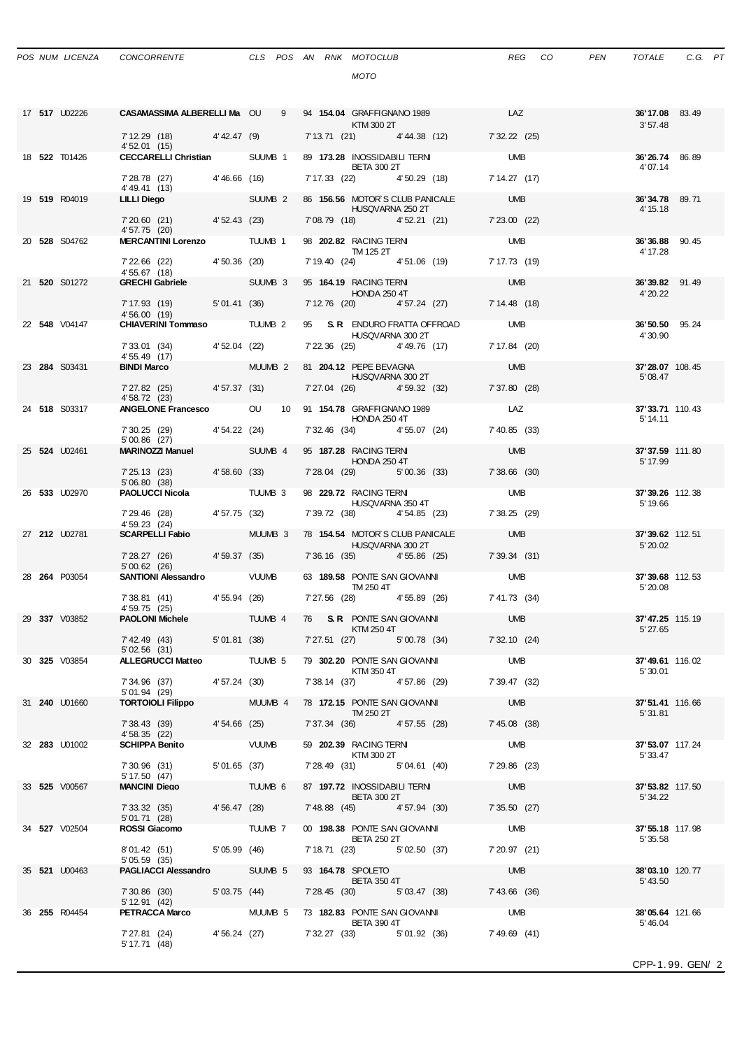| POS NUM LICENZA | CONCORRE |
|-----------------|----------|
|                 |          |

|  | 17 517 U02226        |                                                                             |                                                     |                    |                                                    |                    |                                                                                                           |                                   |  |
|--|----------------------|-----------------------------------------------------------------------------|-----------------------------------------------------|--------------------|----------------------------------------------------|--------------------|-----------------------------------------------------------------------------------------------------------|-----------------------------------|--|
|  |                      |                                                                             |                                                     |                    | KTM 300 2T                                         |                    | CASAMASSIMA ALBERELLI Ma OU 9 94 154.04 GRAFFIGNANO 1989 LAZ<br>7' 13.71 (21) 4' 44.38 (12) 7' 32.22 (25) | 36'17.08 83.49<br>3'57.48         |  |
|  |                      | $7'12.29$ (18) $4'42.47$ (9)<br>4' 52.01 (15)                               |                                                     |                    |                                                    |                    |                                                                                                           |                                   |  |
|  | 18 522 T01426        | <b>CECCARELLI Christian</b> SUUMB 1                                         |                                                     |                    | 89 173.28 INOSSIDABILI TERNI<br><b>BETA 300 2T</b> |                    | <b>UMB</b>                                                                                                | 36'26.74 86.89<br>4'07.14         |  |
|  |                      | 7'28.78 (27) 4'46.66 (16)<br>4'49.41 (13)                                   |                                                     |                    |                                                    |                    | 7' 17.33 (22) 4' 50.29 (18) 7' 14.27 (17)                                                                 |                                   |  |
|  | 19 519 R04019        | LILLI Diego                                                                 |                                                     | SUUMB <sub>2</sub> |                                                    | HUSQVARNA 250 2T   | 86 156.56 MOTOR'S CLUB PANICALE UMB                                                                       | 36'34.78 89.71<br>4' 15.18        |  |
|  |                      | 7'20.60 (21) 4'52.43 (23)<br>4' 57.75 (20)                                  |                                                     |                    |                                                    |                    | 7'08.79 (18) 4'52.21 (21) 7'23.00 (22)                                                                    |                                   |  |
|  | 20 528 S04762        | MERCANTINI Lorenzo TUUMB 1                                                  |                                                     |                    | 98 202.82 RACING TERNI<br>TM 125 2T                |                    | <b>UMB</b>                                                                                                | 36'36.88 90.45<br>4' 17.28        |  |
|  |                      | 7'22.66 (22) 4'50.36 (20)<br>4'55.67 (18)                                   |                                                     |                    | 7' 19.40 (24) 4' 51.06 (19)                        |                    | 7' 17.73 (19)                                                                                             |                                   |  |
|  | 21 520 S01272        | GRECHI Gabriele SUUMB 3                                                     |                                                     |                    | 95 164.19 RACING TERNI<br><b>HONDA 250 4T</b>      |                    | <b>UMB</b>                                                                                                | 36'39.82 91.49<br>4' 20.22        |  |
|  |                      | 7' 17.93 (19) 5' 01.41 (36)<br>4'56.00 (19)                                 |                                                     |                    | 7' 12.76 (20) 4' 57.24 (27)                        |                    | 7'14.48(18)                                                                                               |                                   |  |
|  | 22 548 V04147        | <b>CHIAVERINI Tommaso TUUMB 2</b>                                           |                                                     |                    |                                                    | HUSQVARNA 300 2T   | 95 S.R. ENDURO FRATTA OFFROAD UMB                                                                         | <b>36' 50.50</b> 95.24<br>4'30.90 |  |
|  |                      | 7' 33.01 (34) 4' 52.04 (22)<br>4' 55.49 (17)                                |                                                     |                    | 7' 22.36 (25) 4' 49.76 (17)                        |                    | 7' 17.84 (20)                                                                                             |                                   |  |
|  | 23 <b>284</b> S03431 | <b>BINDI Marco</b>                                                          |                                                     |                    | MUUMB 2 81 204.12 PEPE BEVAGNA                     | HUSQVARNA 300 2T   | <b>UMB</b>                                                                                                | 37'28.07 108.45<br>5' 08.47       |  |
|  |                      | 7'27.82 (25) 4'57.37 (31)<br>4' 58.72 (23)                                  |                                                     |                    | 7'27.04 (26) 4'59.32 (32)                          |                    | 7' 37.80 (28)                                                                                             |                                   |  |
|  | 24 518 S03317        |                                                                             |                                                     |                    | 91 154.78 GRAFFIGNANO 1989<br><b>HONDA 250 4T</b>  |                    | LAZ                                                                                                       | 37'33.71 110.43<br>5' 14.11       |  |
|  |                      | 7' 30.25 (29) 4' 54.22 (24)<br>$5'00.86$ (27)                               |                                                     |                    | 7' 32.46 (34) 4' 55.07 (24)                        |                    | $7' 40.85$ (33)                                                                                           |                                   |  |
|  | 25 524 U02461        | MARINOZZI Manuel SUUMB 4                                                    |                                                     |                    | 95 187.28 RACING TERNI<br><b>HONDA 250 4T</b>      |                    | <b>UMB</b>                                                                                                | 37' 37.59 111.80<br>5' 17.99      |  |
|  |                      | 7' 25.13 (23) 4' 58.60 (33)                                                 |                                                     |                    | 7'28.04 (29) 5'00.36 (33)                          |                    | 7'38.66 (30)                                                                                              |                                   |  |
|  | 26 533 U02970        | 5'06.80(38)<br><b>PAOLUCCI Nicola TUUMB 3</b>                               |                                                     |                    | 98 229.72 RACING TERNI                             |                    | <b>UMB</b>                                                                                                | 37'39.26 112.38                   |  |
|  |                      | 7' 29.46 (28) 4' 57.75 (32)                                                 |                                                     |                    | 7' 39.72 (38) 4' 54.85 (23)                        | HUSQVARNA 350 4T   | 7' 38.25 (29)                                                                                             | 5' 19.66                          |  |
|  | 27 212 U02781        | 4' 59.23 (24)<br><b>SCARPELLI Fabio</b> MUUMB 3                             |                                                     |                    | 78 154.54 MOTOR'S CLUB PANICALE                    |                    | <b>UMB</b>                                                                                                | 37'39.62 112.51                   |  |
|  |                      | 7' 28.27 (26) 4' 59.37 (35)                                                 |                                                     |                    |                                                    | HUSQVARNA 300 2T   | 7'36.16 (35) 4'55.86 (25) 7'39.34 (31)                                                                    | 5' 20.02                          |  |
|  | 28 264 P03054        | $5'00.62$ (26)<br>SANTIONI Alessandro VUUMB                                 |                                                     |                    | 63 189.58 PONTE SAN GIOVANNI UMB<br>TM 250 4T      |                    |                                                                                                           | 37'39.68 112.53                   |  |
|  |                      | 7' 38.81 (41) 4' 55.94 (26)                                                 |                                                     |                    | 7' 27.56 (28) 4' 55.89 (26)                        |                    | 7' 41.73 (34)                                                                                             | 5' 20.08                          |  |
|  | 29 337 V03852        | 4'59.75 (25)<br><b>PAOLONI Michele</b> TUUMB 4                              |                                                     |                    | 76 S.R. PONTE SAN GIOVANNI UMB<br>KTM 250 4T       |                    |                                                                                                           | 37'47.25 115.19<br>5'27.65        |  |
|  |                      | 7' 42.49' (43)                                                              |                                                     | 5'01.81 (38)       |                                                    |                    | 7' 27.51 (27) 5' 00.78 (34) 7' 32.10 (24)                                                                 |                                   |  |
|  | 30 325 V03854        | 5'02.56 (31)<br>ALLEGRUCCI Matteo TUUMB 5 79 302.20 PONTE SAN GIOVANNI UMB  |                                                     |                    |                                                    |                    |                                                                                                           | <b>37'49.61</b> 116.02            |  |
|  |                      |                                                                             |                                                     |                    |                                                    | KTM 350 4T         | 7'34.96 (37)  4'57.24 (30)  7'38.14 (37)  4'57.86 (29)  7'39.47 (32)                                      | 5' 30.01                          |  |
|  | 31 240 U01660        | 5'01.94 (29)<br><b>TORTOIOLI Filippo MUUMB 4</b>                            |                                                     |                    | 78 172.15 PONTE SAN GIOVANNI                       |                    | <b>UMB</b>                                                                                                | 37'51.41 116.66                   |  |
|  |                      | 7' 38.43 (39) 4' 54.66 (25)                                                 |                                                     |                    | TM 250 2T<br>7' 37.34 (36) 4' 57.55 (28)           |                    | 7' 45.08 (38)                                                                                             | 5' 31.81                          |  |
|  | 32 283 U01002        | 4' 58.35 (22)<br>SCHIPPA Benito VUUMB                                       |                                                     |                    | 59 202.39 RACING TERNI                             |                    | <b>UMB</b>                                                                                                | 37'53.07 117.24                   |  |
|  |                      | 7' 30.96 (31) 5' 01.65 (37)                                                 |                                                     |                    | KTM 300 2T<br>7' 28.49 (31) 5' 04.61 (40)          |                    | 7' 29.86 (23)                                                                                             | 5' 33.47                          |  |
|  | 33 525 V00567        | 5' 17.50 (47)<br><b>MANCINI Diego</b>                                       |                                                     | TUUMB <sub>6</sub> | 87 197.72 INOSSIDABILI TERNI                       |                    | <b>UMB</b>                                                                                                | 37'53.82 117.50                   |  |
|  |                      | 7' 33.32 (35) 4' 56.47 (28)                                                 |                                                     |                    | <b>BETA 300 2T</b><br>7' 48.88 (45) 4' 57.94 (30)  |                    | 7'35.50 (27)                                                                                              | 5' 34.22                          |  |
|  | 34 527 V02504        | 5' 01.71 (28)<br>ROSSI Giacomo TUUMB 7                                      | <u> 1999 - Jan James Barnett, politik politik (</u> |                    | 00 198.38 PONTE SAN GIOVANNI                       |                    | <b>UMB</b>                                                                                                | 37'55.18 117.98                   |  |
|  |                      | 8'01.42 (51) 5'05.99 (46)                                                   |                                                     |                    | <b>BETA 250 2T</b><br>7' 18.71 (23) 5' 02.50 (37)  |                    | 7' 20.97 (21)                                                                                             | 5' 35.58                          |  |
|  | 35 <b>521</b> U00463 | 5' 05.59 (35)<br>PAGLIACCI Alessandro SUUMB 5                               |                                                     |                    | 93 164.78 SPOLETO                                  |                    | <b>UMB</b>                                                                                                | <b>38'03.10</b> 120.77            |  |
|  |                      | 7'30.86 (30) 5'03.75 (44)                                                   |                                                     |                    |                                                    | <b>BETA 350 4T</b> | 7' 28.45 (30) 5' 03.47 (38) 7' 43.66 (36)                                                                 | 5' 43.50                          |  |
|  | 36 255 R04454        | 5' 12.91 (42)<br><b>PETRACCA Marco MUUMB 5 73 182.83 PONTE SAN GIOVANNI</b> |                                                     |                    |                                                    |                    | <b>UMB</b>                                                                                                | 38'05.64 121.66                   |  |
|  |                      |                                                                             |                                                     |                    |                                                    | <b>BETA 390 4T</b> | 7'27.81 (24)  4'56.24 (27)  7'32.27 (33)  5'01.92 (36)  7'49.69 (41)                                      | 5'46.04                           |  |
|  |                      | 5' 17.71 (48)                                                               |                                                     |                    |                                                    |                    |                                                                                                           |                                   |  |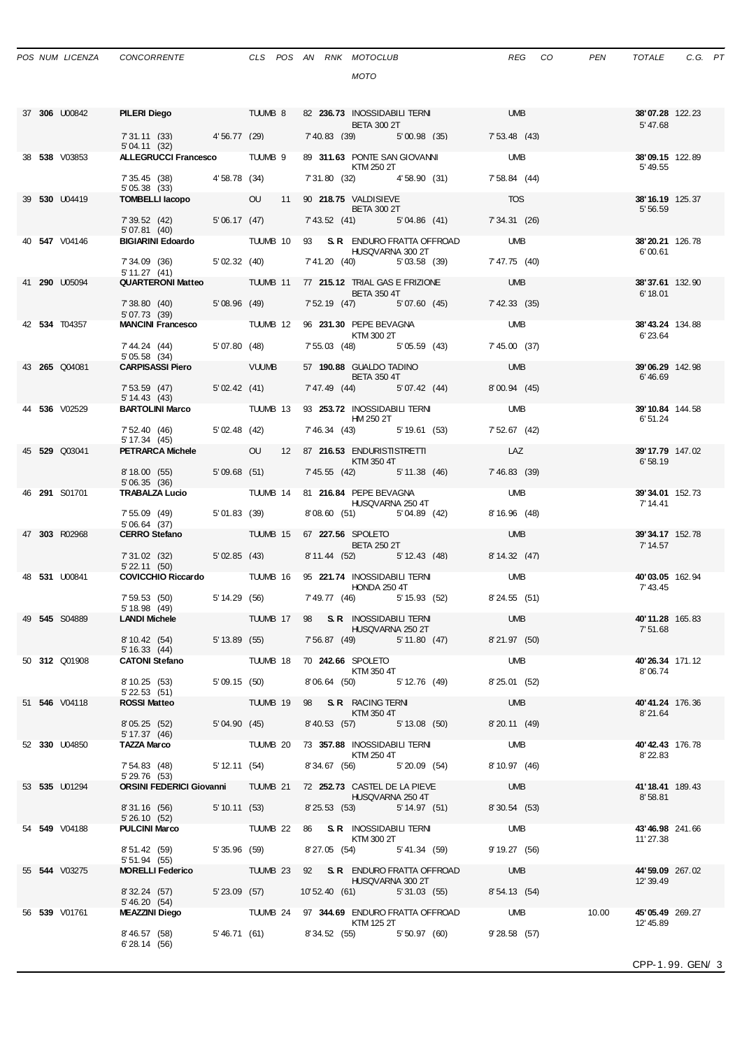| POS NUM LICENZA | <b>CONCORREN</b> |
|-----------------|------------------|
|                 |                  |

*MOTO*

|  | 37 306 U00842 | <b>PILERI Diego TUUMB 8</b>                    |  | 82 236.73 INOSSIDABILI TERNI UMB<br><b>BETA 300 2T</b>                                |                       |       | 38'07.28 122.23<br>5'47.68  |  |
|--|---------------|------------------------------------------------|--|---------------------------------------------------------------------------------------|-----------------------|-------|-----------------------------|--|
|  |               | 5' 04.11 (32)                                  |  | 7'31.11 (33) 4'56.77 (29) 7'40.83 (39) 5'00.98 (35) 7'53.48 (43)                      |                       |       |                             |  |
|  | 38 538 V03853 | ALLEGRUCCI Francesco TUUMB 9                   |  | 89 311.63 PONTE SAN GIOVANNI UMB<br>KTM 250 2T                                        |                       |       | 38'09.15 122.89<br>5' 49.55 |  |
|  |               | 7' 35.45 (38) 4' 58.78 (34)<br>5'05.38(33)     |  | 7'31.80 (32) 4'58.90 (31) 7'58.84 (44)                                                |                       |       |                             |  |
|  | 39 530 U04419 |                                                |  | TOMBELLI lacopo 00 00 11 90 218.75 VALDISIEVE<br><b>BETA 300 2T</b>                   | <b>TOS</b>            |       | 38'16.19 125.37<br>5' 56.59 |  |
|  |               | 7' 39.52 (42) 5' 06.17 (47)<br>5'07.81(40)     |  | 7' 43.52 (41) 5' 04.86 (41) 7' 34.31 (26)                                             |                       |       |                             |  |
|  | 40 547 V04146 |                                                |  | <b>BIGIARINI Edoardo TUUMB 10 93 S.R ENDURO FRATTA OFFROAD</b><br>HUSQVARNA 300 2T    | <b>UMB</b>            |       | 38'20.21 126.78<br>6'00.61  |  |
|  |               | 7' 34.09 (36) 5' 02.32 (40)<br>5'11.27(41)     |  | 7' 41.20 (40) 5' 03.58 (39)                                                           | 7' 47.75 (40)         |       |                             |  |
|  | 41 290 U05094 |                                                |  | QUARTERONI Matteo TUUMB 11 77 215.12 TRIAL GAS E FRIZIONE UMB                         |                       |       | 38'37.61 132.90             |  |
|  |               | 7' 38.80 (40) 5' 08.96 (49)                    |  | <b>BETA 350 4T</b><br>7' 52.19 (47) 5' 07.60 (45) 7' 42.33 (35)                       |                       |       | 6' 18.01                    |  |
|  | 42 534 T04357 | 5' 07.73 (39)                                  |  | MANCINI Francesco TUUMB 12 96 231.30 PEPE BEVAGNA                                     | <b>UMB</b>            |       | 38'43.24 134.88             |  |
|  |               | 7' 44.24 (44) 5' 07.80 (48)<br>5' 05.58 (34)   |  | KTM 300 2T<br>7' 55.03 (48) 5' 05.59 (43)                                             | 7' 45.00 (37)         |       | 6'23.64                     |  |
|  | 43 265 Q04081 | CARPISASSI Piero VUUMB                         |  | 57 190.88 GUALDO TADINO<br><b>BETA 350 4T</b>                                         | <b>Example 19 UMB</b> |       | 39'06.29 142.98<br>6'46.69  |  |
|  |               | 7' 53.59 (47) 5' 02.42 (41)<br>$5' 14.43$ (43) |  | 7' 47.49 (44) 5' 07.42 (44)                                                           | 8'00.94 (45)          |       |                             |  |
|  | 44 536 V02529 |                                                |  | <b>BARTOLINI Marco TUUMB 13 93 253.72 INOSSIDABILI TERNI</b>                          | <b>UMB</b>            |       | 39'10.84 144.58             |  |
|  |               | 7' 52.40 (46) 5' 02.48 (42)                    |  | HM 250 2T<br>7'46.34 (43) 5'19.61 (53)                                                | 7' 52.67 (42)         |       | 6' 51.24                    |  |
|  | 45 529 Q03041 | 5' 17.34 (45)                                  |  | PETRARCA Michele 0U 12 87 216.53 ENDURISTISTRETTI                                     | LAZ                   |       | 39' 17.79 147.02            |  |
|  |               | 8'18.00 (55)                                   |  | KTM 350 4T<br>5' 09.68 (51) 7' 45.55 (42) 5' 11.38 (46)                               | 7'46.83(39)           |       | 6'58.19                     |  |
|  | 46 291 S01701 | 5'06.35(36)                                    |  | TRABALZA Lucio TUUMB 14 81 216.84 PEPE BEVAGNA                                        | <b>UMB</b>            |       | 39'34.01 152.73             |  |
|  |               | 7' 55.09 (49) 5' 01.83 (39)                    |  | HUSQVARNA 250 4T<br>8'08.60 (51) 5'04.89 (42)                                         | 8'16.96(48)           |       | 7' 14.41                    |  |
|  | 47 303 R02968 | 5'06.64(37)                                    |  | CERRO Stefano TUUMB 15 67 227.56 SPOLETO                                              | <b>UMB</b>            |       | 39'34.17 152.78             |  |
|  |               |                                                |  | <b>BETA 250 2T</b><br>7'31.02 (32) 5'02.85 (43) 8'11.44 (52) 5'12.43 (48)             | 8' 14.32 (47)         |       | 7' 14.57                    |  |
|  | 48 531 U00841 | $5'$ 22.11 (50)                                |  | <b>COVICCHIO Riccardo TUUMB 16 95 221.74 INOSSIDABILI TERNI</b>                       | <b>UMB</b>            |       | 40'03.05 162.94             |  |
|  |               | 7' 59.53 (50) 5' 14.29 (56)<br>5'18.98(49)     |  | HONDA 250 4T<br>7' 49.77 (46) 5' 15.93 (52) 8' 24.55 (51)                             |                       |       | 7' 43.45                    |  |
|  | 49 545 S04889 | <b>LANDI Michele</b>                           |  | TUUMB 17 98 S.R INOSSIDABILI TERNI<br>HUSQVARNA 250 2T                                | <b>UMB</b>            |       | 40'11.28 165.83<br>7' 51.68 |  |
|  |               | 8' 10.42 (54)                                  |  | 5' 13.89 (55) 7' 56.87 (49) 5' 11.80 (47) 8' 21.97 (50)                               |                       |       |                             |  |
|  | 50 312 Q01908 | 5' 16.33 (44)                                  |  | CATONI Stefano TUUMB 18 70 242.66 SPOLETO                                             | <b>UMB</b>            |       | 40'26.34 171.12             |  |
|  |               | 8' 10.25 (53) 5' 09.15 (50)                    |  | KTM 350 4T<br>8'06.64 (50) 5'12.76 (49) 8'25.01 (52)                                  |                       |       | 8'06.74                     |  |
|  | 51 546 V04118 | $5'$ 22.53 (51)<br><b>ROSSI Matteo</b>         |  | TUUMB 19 98 S.R RACING TERNI                                                          | <b>UMB</b>            |       | 40'41.24 176.36             |  |
|  |               | 8'05.25 (52) 5'04.90 (45)                      |  | KTM 350 4T<br>8'40.53 (57) 5'13.08 (50) 8'20.11 (49)                                  |                       |       | 8' 21.64                    |  |
|  | 52 330 U04850 | 5' 17.37 (46)<br><b>TAZZA Marco</b>            |  | TUUMB 20 73 357.88 INOSSIDABILI TERNI                                                 | <b>UMB</b>            |       | 40'42.43 176.78             |  |
|  |               |                                                |  | KTM 250 4T<br>7' 54.83 (48) 5' 12.11 (54) 8' 34.67 (56) 5' 20.09 (54)                 | 8'10.97 (46)          |       | 8' 22.83                    |  |
|  | 53 535 U01294 | 5' 29.76 (53)                                  |  | ORSINI FEDERICI Giovanni TUUMB 21 72 252.73 CASTEL DE LA PIEVE                        | <b>UMB</b>            |       | 41'18.41 189.43             |  |
|  |               | 8'31.16 (56) 5'10.11 (53)                      |  | HUSQVARNA 250 4T<br>8'25.53 (53) 5'14.97 (51)                                         | 8'30.54 (53)          |       | 8'58.81                     |  |
|  | 54 549 V04188 | 5' 26.10 (52)<br><b>PULCINI Marco</b>          |  | TUUMB 22 86 S.R. INOSSIDABILITERNI                                                    | <b>UMB</b>            |       | 43'46.98 241.66             |  |
|  |               | 8'51.42 (59) 5'35.96 (59)                      |  | KTM 300 2T<br>8'27.05 (54) 5'41.34 (59)                                               | 9'19.27(56)           |       | 11' 27.38                   |  |
|  | 55 544 V03275 | 5'51.94(55)                                    |  | MORELLI Federico TUUMB 23 92 S.R ENDURO FRATTA OFFROAD UMB                            |                       |       | 44'59.09 267.02             |  |
|  |               | 5' 46.20 (54)                                  |  | HUSQVARNA 300 2T<br>8'32.24 (57) 5'23.09 (57) 10'52.40 (61) 5'31.03 (55) 8'54.13 (54) |                       |       | 12' 39.49                   |  |
|  | 56 539 V01761 |                                                |  |                                                                                       |                       | 10.00 | 45'05.49 269.27             |  |
|  |               | 8' 46.57 (58)                                  |  | <b>KTM 125 2T</b><br>5'46.71 (61) 8'34.52 (55) 5'50.97 (60) 9'28.58 (57)              |                       |       | 12' 45.89                   |  |
|  |               | 6'28.14(56)                                    |  |                                                                                       |                       |       |                             |  |